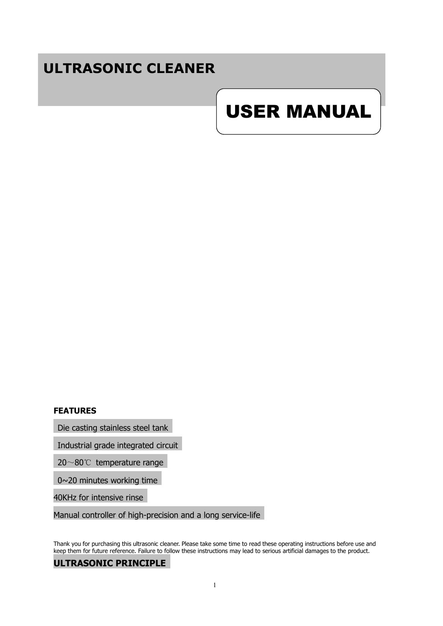# **ULTRASONIC CLEANER**

# USER MANUAL

#### **FEATURES**

Die casting stainless steel tank

Industrial grade integrated circuit

20~80℃ temperature range

0~20 minutes working time

40KHz for intensive rinse

Manual controller of high-precision and a long service-life

Thank you for purchasing this ultrasonic cleaner. Please take some time to read these operating instructions before use and keep them for future reference. Failure to follow these instructions may lead to serious artificial damages to the product.

#### **ULTRASONIC PRINCIPLE**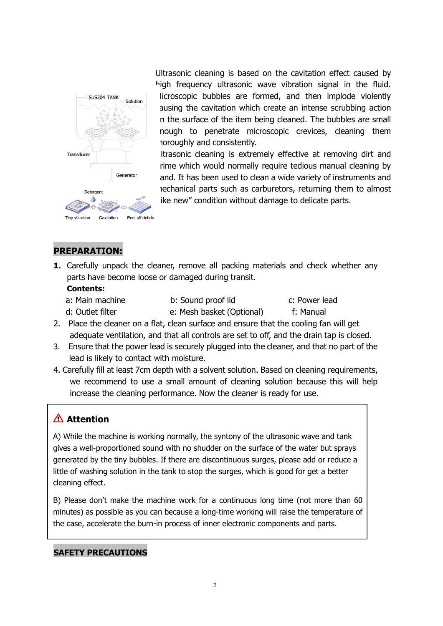

Ultrasonic cleaning is based on the cavitation effect caused by high frequency ultrasonic wave vibration signal in the fluid. licroscopic bubbles are formed, and then implode violently ausing the cavitation which create an intense scrubbing action n the surface of the item being cleaned. The bubbles are small nough to penetrate microscopic crevices, cleaning them toroughly and consistently.

Itrasonic cleaning is extremely effective at removing dirt and rime which would normally require tedious manual cleaning by and. It has been used to clean a wide variety of instruments and mechanical parts such as carburetors, returning them to almost ike new" condition without damage to delicate parts.

# **PREPARATION:**

**1.** Carefully unpack the cleaner, remove all packing materials and check whether any parts have become loose or damaged during transit.

#### **Contents:**

a: Main machine b: Sound proof lid c: Power lead

d: Outlet filter e: Mesh basket (Optional) f: Manual

2. Place the cleaner on a flat, clean surface and ensure that the cooling fan will get

- adequate ventilation, and that all controls are set to off, and the drain tap is closed.
- 3. Ensure that the power lead is securely plugged into the cleaner, and that no part of the lead is likely to contact with moisture.
- 4. Carefully fill at least 7cm depth with a solvent solution. Based on cleaning requirements, we recommend to use a small amount of cleaning solution because this will help increase the cleaning performance. Now the cleaner is ready for use.

## **Attention**

A) While the machine is working normally, the syntony of the ultrasonic wave and tank gives a well-proportioned sound with no shudder on the surface of the water but sprays generated by the tiny bubbles. If there are discontinuous surges, please add orreduce a little of washing solution in the tank to stop the surges, which is good for get a better cleaning effect.

B) Please don't make the machine work for a continuous long time (not more than 60 minutes) as possible as you can because a long-time working will raise the temperature of the case, accelerate the burn-in process of inner electronic components and parts.

#### **SAFETY PRECAUTIONS**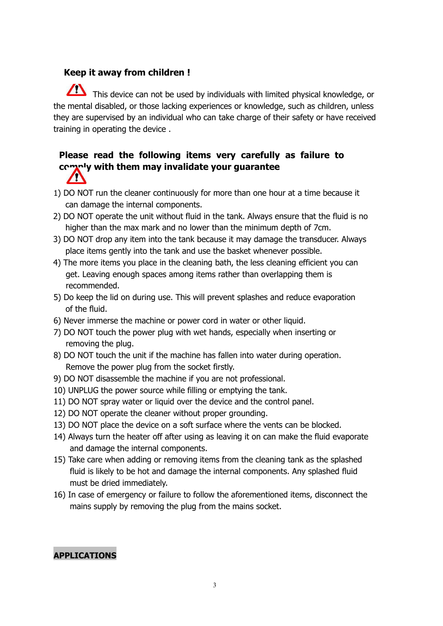#### **Keep it away from children !**

This device can not be used by individuals with limited physical knowledge, or the mental disabled, or those lacking experiences or knowledge, such as children, unless they are supervised by an individual who can take charge of their safety or have received training in operating the device .

#### **Please read the following items very carefully as failure to comply with them may invalidate your guarantee** $\sqrt{N}$

- 1) DO NOT run the cleaner continuously for more than one hour at a time because it can damage the internal components.
- 2) DO NOT operate the unit without fluid in the tank. Always ensure that the fluid is no higher than the max mark and no lower than the minimum depth of 7cm.
- 3) DO NOT drop any item into the tank because it may damage the transducer. Always place items gently into the tank and use the basket whenever possible.
- 4) The more items you place in the cleaning bath, the less cleaning efficient you can get. Leaving enough spaces among items rather than overlapping them is recommended.
- 5) Do keep the lid on during use. This will prevent splashes and reduce evaporation of the fluid.
- 6) Never immerse the machine or power cord in water or other liquid.
- 7) DO NOT touch the power plug with wet hands, especially when inserting or removing the plug.
- 8) DO NOT touch the unit if the machine has fallen into water during operation.<br>Remove the power plug from the socket firstly.
- 9) DO NOT disassemble the machine if you are not professional.
- 10) UNPLUG the power source while filling or emptying the tank.
- 11) DO NOT spray water or liquid over the device and the control panel.
- 12) DO NOT operate the cleaner without proper grounding.
- 13) DO NOT place the device on a soft surface where the vents can be blocked.
- 14) Always turn the heater off after using as leaving it on can make the fluid evaporate and damage the internal components.
- 15) Take care when adding or removing items from the cleaning tank as the splashed fluid is likely to be hot and damage the internal components. Any splashed fluid must be dried immediately.
- 16) In case of emergency or failure to follow the aforementioned items, disconnect the mains supply by removing the plug from the mains socket.

#### **APPLICATIONS**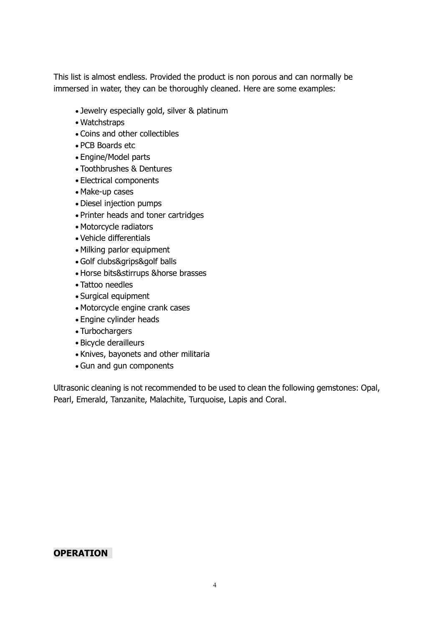This list is almost endless. Provided the product is non porous and can normally be immersed in water, they can be thoroughly cleaned. Here are some examples:

- Jewelry especially gold, silver & platinum
- Watchstraps
- Coins and other collectibles
- PCB Boards etc
- Engine/Model parts
- Toothbrushes & Dentures
- Electrical components
- Make-up cases
- Diesel injection pumps
- Printer heads and toner cartridges
- Motorcycle radiators
- Vehicle differentials
- Milking parlor equipment
- Golf clubs&grips&golf balls
- Horse bits&stirrups &horse brasses
- Tattoo needles
- Surgical equipment
- Motorcycle engine crank cases
- Engine cylinder heads
- Turbochargers
- Bicycle derailleurs
- Knives, bayonets and other militaria
- Gun and gun components

Ultrasonic cleaning is not recommended to be used to clean the following gemstones: Opal, Pearl, Emerald, Tanzanite, Malachite, Turquoise, Lapis and Coral.

#### **OPERATION**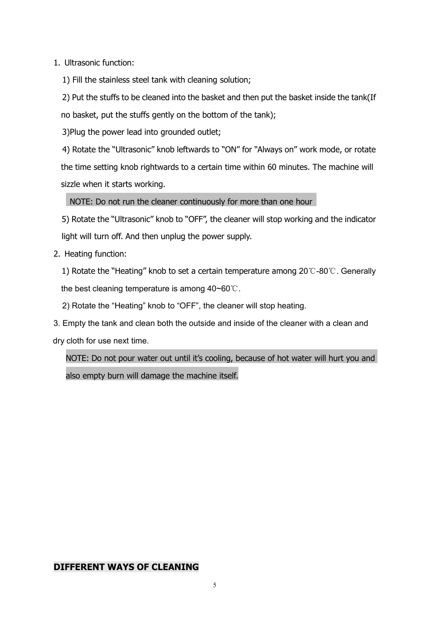1. Ultrasonic function:

1) Fill the stainless steel tank with cleaning solution;

2) Put the stuffs to be cleaned into the basket and then put the basket inside the tank(If no basket, put the stuffs gently on the bottom of the tank);

3)Plug the power lead into grounded outlet;

4) Rotate the "Ultrasonic" knob leftwards to "ON" for "Always on" work mode, or rotate the time setting knob rightwards to a certain time within 60 minutes. The machine will sizzle when it starts working.

NOTE: Do not run the cleaner continuously for more than one hour

5) Rotate the "Ultrasonic" knob to "OFF", the cleaner will stop working and the indicator light will turn off. And then unplug the power supply.

2. Heating function:

1) Rotate the "Heating" knob to set a certain temperature among 20℃-80℃. Generally the best cleaning temperature is among 40~60℃.

2) Rotate the "Heating" knob to "OFF", the cleaner will stop heating.

3. Empty the tank and clean both the outside and inside of the cleaner with a clean and dry cloth for use next time.

NOTE: Do not pour water out until it's cooling, because of hot water will hurt you and also empty burn will damage the machine itself.

#### **DIFFERENT WAYS OF CLEANING**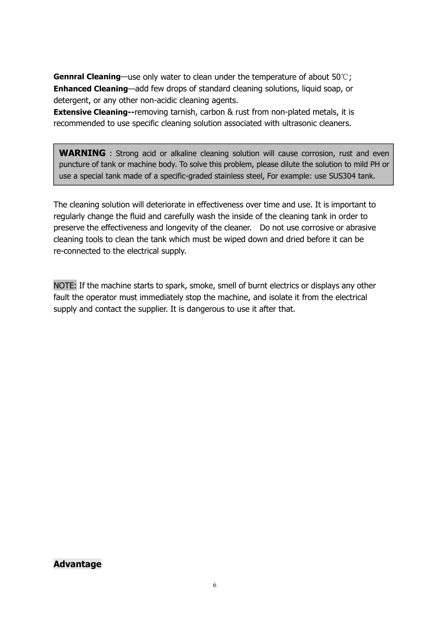**Gennral Cleaning**—use only water to clean under the temperature of about 50℃; **Enhanced Cleaning**—add few drops of standard cleaning solutions, liquid soap, or detergent, or any other non-acidic cleaning agents.

**Extensive Cleaning--**removing tarnish, carbon & rust from non-plated metals, it is recommended to use specific cleaning solution associated with ultrasonic cleaners.

**WARNING** : Strong acid or alkaline cleaning solution will cause corrosion, rust and even puncture of tank or machine body. To solve this problem, please dilute the solution to mild PH or use a special tank made of a specific-graded stainless steel, For example: use SUS304 tank.

The cleaning solution will deteriorate in effectiveness over time and use. It is important to regularly change the fluid and carefully wash the inside of the cleaning tank in order to preserve the effectiveness and longevity of the cleaner. Do not use corrosive or abrasive cleaning tools to clean the tank which must be wiped down and dried before it can be re-connected to the electrical supply.

NOTE: If the machine starts to spark, smoke, smell of burnt electrics or displays any other fault the operator must immediately stop the machine, and isolate it from the electrical supply and contact the supplier. It is dangerous to use it after that.

#### **Advantage**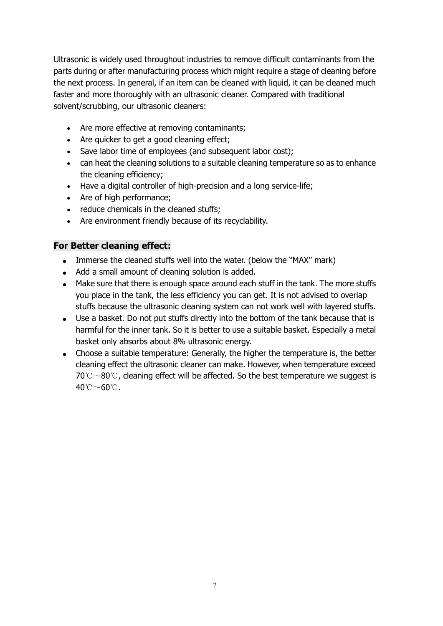Ultrasonic is widely used throughout industries to remove difficult contaminants from the parts during or after manufacturing process which might require a stage of cleaning before the next process. In general, if an item can be cleaned with liquid, it can be cleaned much faster and more thoroughly with an ultrasonic cleaner. Compared with traditional solvent/scrubbing, our ultrasonic cleaners:

- Are more effective at removing contaminants;
- Are quicker to get a good cleaning effect;
- Save labor time of employees (and subsequent labor cost);
- can heat the cleaning solutions to a suitable cleaning temperature so as to enhance the cleaning efficiency;
- Have a digital controller of high-precision and a long service-life;
- Are of high performance;
- reduce chemicals in the cleaned stuffs;
- Are environment friendly because of its recyclability.

#### **For Better cleaning effect:**

- Immerse the cleaned stuffs well into the water. (below the "MAX" mark)
- Add a small amount of cleaning solution is added.
- Make sure that there is enough space around each stuff in the tank. The more stuffs you place in the tank, the less efficiency you can get. It is not advised to overlap stuffs because the ultrasonic cleaning system can not work well with layered stuffs.
- Use a basket. Do not put stuffs directly into the bottom of the tank because that is harmful for the inner tank. So it is better to use a suitable basket. Especially a metal basket only absorbs about 8% ultrasonic energy.
- Choose a suitable temperature: Generally, the higher the temperature is, the better cleaning effect the ultrasonic cleaner can make. However, when temperature exceed 70℃~80℃, cleaning effect will be affected. So the best temperature we suggest is 40℃~60℃.